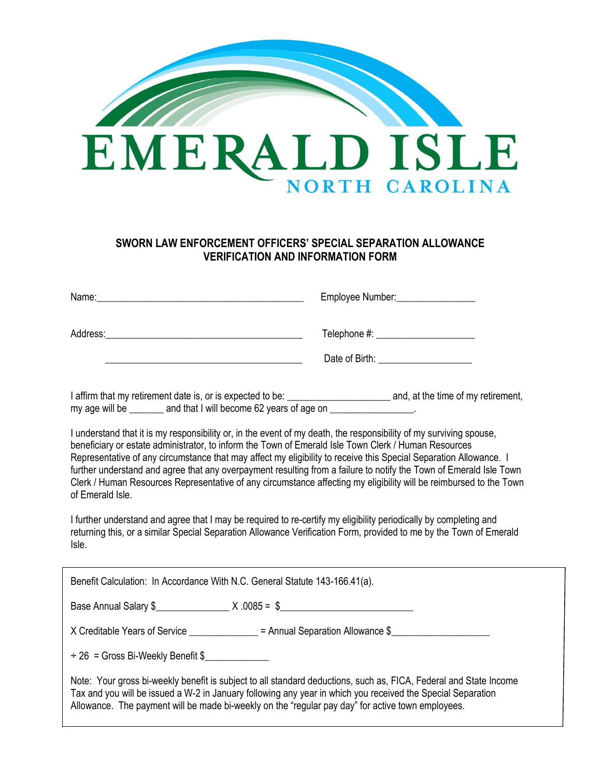

# **SWORN LAW ENFORCEMENT OFFICERS' SPECIAL SEPARATION ALLOWANCE VERIFICATION AND INFORMATION FORM**

|                                                                                                                                                                                                                                                                                                                                                                                                                                                                                                                                                                                                                 | Employee Number:__________________ |
|-----------------------------------------------------------------------------------------------------------------------------------------------------------------------------------------------------------------------------------------------------------------------------------------------------------------------------------------------------------------------------------------------------------------------------------------------------------------------------------------------------------------------------------------------------------------------------------------------------------------|------------------------------------|
|                                                                                                                                                                                                                                                                                                                                                                                                                                                                                                                                                                                                                 |                                    |
| my age will be _______ and that I will become 62 years of age on _______________.                                                                                                                                                                                                                                                                                                                                                                                                                                                                                                                               |                                    |
| I understand that it is my responsibility or, in the event of my death, the responsibility of my surviving spouse,<br>beneficiary or estate administrator, to inform the Town of Emerald Isle Town Clerk / Human Resources<br>Representative of any circumstance that may affect my eligibility to receive this Special Separation Allowance. I<br>further understand and agree that any overpayment resulting from a failure to notify the Town of Emerald Isle Town<br>Clerk / Human Resources Representative of any circumstance affecting my eligibility will be reimbursed to the Town<br>of Emerald Isle. |                                    |
| I further understand and agree that I may be required to re-certify my eligibility periodically by completing and<br>returning this, or a similar Special Separation Allowance Verification Form, provided to me by the Town of Emerald<br>Isle.                                                                                                                                                                                                                                                                                                                                                                |                                    |
| Benefit Calculation: In Accordance With N.C. General Statute 143-166.41(a).                                                                                                                                                                                                                                                                                                                                                                                                                                                                                                                                     |                                    |
|                                                                                                                                                                                                                                                                                                                                                                                                                                                                                                                                                                                                                 |                                    |
| X Creditable Years of Service ______________ = Annual Separation Allowance \$_____________________                                                                                                                                                                                                                                                                                                                                                                                                                                                                                                              |                                    |
| $\div$ 26 = Gross Bi-Weekly Benefit \$                                                                                                                                                                                                                                                                                                                                                                                                                                                                                                                                                                          |                                    |
| Note: Your gross bi-weekly benefit is subject to all standard deductions, such as, FICA, Federal and State Income<br>Tax and you will be issued a W-2 in January following any year in which you received the Special Separation<br>Allowance. The payment will be made bi-weekly on the "regular pay day" for active town employees.                                                                                                                                                                                                                                                                           |                                    |